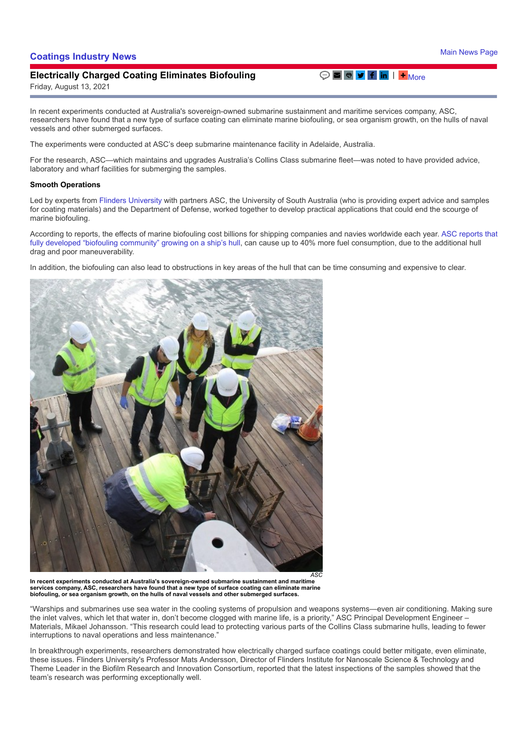## **[Coatings Industry News](https://www.paintsquare.com/news/)** [Main News Page](https://www.paintsquare.com/news) 2014 12:00 and 2014 12:00 and 2014 12:00 and 2014 12:00 and 2014 12:00 and 2014 12:00 and 2014 12:00 and 2014 12:00 and 2014 12:00 and 2014 12:00 and 2014 12:00 and 2014 12:00 and 20

## **Electrically Charged Coating Eliminates Biofouling**

Friday, August 13, 2021

In recent experiments conducted at Australia's sovereign-owned submarine sustainment and maritime services company, ASC, researchers have found that a new type of surface coating can eliminate marine biofouling, or sea organism growth, on the hulls of naval vessels and other submerged surfaces.

The experiments were conducted at ASC's deep submarine maintenance facility in Adelaide, Australia.

For the research, ASC—which maintains and upgrades Australia's Collins Class submarine fleet—was noted to have provided advice, laboratory and wharf facilities for submerging the samples.

## **Smooth Operations**

Led by experts from [Flinders University](https://news.flinders.edu.au/blog/2021/07/26/smooth-sailing-for-bio-fouling-research/) with partners ASC, the University of South Australia (who is providing expert advice and samples for coating materials) and the Department of Defense, worked together to develop practical applications that could end the scourge of marine biofouling.

According to reports, the effects of marine biofouling cost billions for shipping companies and navies worldwide each year. ASC reports that [fully developed "biofouling community" growing on a ship's hull, can cause up to 40% more fuel consumption, due to the additional hull](https://www.asc.com.au/news-media/latest-news/real-world-experiments-point-to-smooth-operations-for-ships-and-submarines/) drag and poor maneuverability.

In addition, the biofouling can also lead to obstructions in key areas of the hull that can be time consuming and expensive to clear.

**In recent experiments conducted at Australia's sovereign-owned submarine sustainment and maritime services company, ASC, researchers have found that a new type of surface coating can eliminate marine biofouling, or sea organism growth, on the hulls of naval vessels and other submerged surfaces.**

"Warships and submarines use sea water in the cooling systems of propulsion and weapons systems—even air conditioning. Making sure the inlet valves, which let that water in, don't become clogged with marine life, is a priority," ASC Principal Development Engineer – Materials, Mikael Johansson. "This research could lead to protecting various parts of the Collins Class submarine hulls, leading to fewer interruptions to naval operations and less maintenance."

In breakthrough experiments, researchers demonstrated how electrically charged surface coatings could better mitigate, even eliminate, these issues. Flinders University's Professor Mats Andersson, Director of Flinders Institute for Nanoscale Science & Technology and Theme Leader in the Biofilm Research and Innovation Consortium, reported that the latest inspections of the samples showed that the team's research was performing exceptionally well.